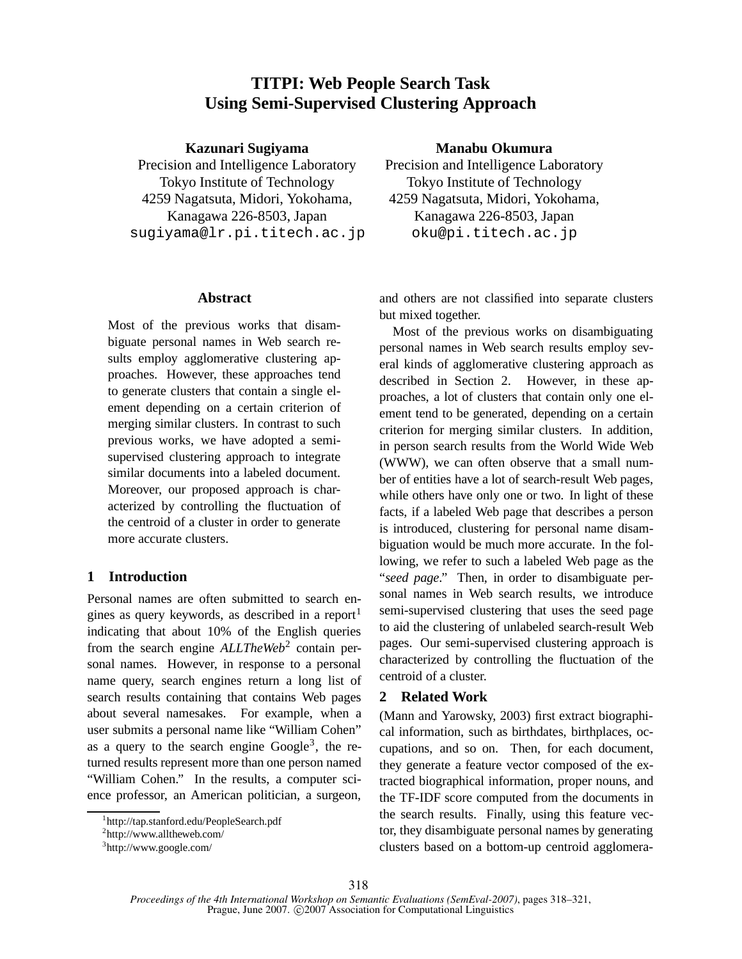# **TITPI: Web People Search Task Using Semi-Supervised Clustering Approach**

## **Kazunari Sugiyama**

Precision and Intelligence Laboratory Tokyo Institute of Technology 4259 Nagatsuta, Midori, Yokohama, Kanagawa 226-8503, Japan sugiyama@lr.pi.titech.ac.jp

## **Abstract**

Most of the previous works that disambiguate personal names in Web search results employ agglomerative clustering approaches. However, these approaches tend to generate clusters that contain a single element depending on a certain criterion of merging similar clusters. In contrast to such previous works, we have adopted a semisupervised clustering approach to integrate similar documents into a labeled document. Moreover, our proposed approach is characterized by controlling the fluctuation of the centroid of a cluster in order to generate more accurate clusters.

# **1 Introduction**

Personal names are often submitted to search engines as query keywords, as described in a report<sup>1</sup> indicating that about 10% of the English queries from the search engine *ALLTheWeb*<sup>2</sup> contain personal names. However, in response to a personal name query, search engines return a long list of search results containing that contains Web pages about several namesakes. For example, when a user submits a personal name like "William Cohen" as a query to the search engine  $Google<sup>3</sup>$ , the returned results represent more than one person named "William Cohen." In the results, a computer science professor, an American politician, a surgeon,

# **Manabu Okumura**

Precision and Intelligence Laboratory Tokyo Institute of Technology 4259 Nagatsuta, Midori, Yokohama, Kanagawa 226-8503, Japan oku@pi.titech.ac.jp

and others are not classified into separate clusters but mixed together.

Most of the previous works on disambiguating personal names in Web search results employ several kinds of agglomerative clustering approach as described in Section 2. However, in these approaches, a lot of clusters that contain only one element tend to be generated, depending on a certain criterion for merging similar clusters. In addition, in person search results from the World Wide Web (WWW), we can often observe that a small number of entities have a lot of search-result Web pages, while others have only one or two. In light of these facts, if a labeled Web page that describes a person is introduced, clustering for personal name disambiguation would be much more accurate. In the following, we refer to such a labeled Web page as the "*seed page*." Then, in order to disambiguate personal names in Web search results, we introduce semi-supervised clustering that uses the seed page to aid the clustering of unlabeled search-result Web pages. Our semi-supervised clustering approach is characterized by controlling the fluctuation of the centroid of a cluster.

# **2 Related Work**

(Mann and Yarowsky, 2003) first extract biographical information, such as birthdates, birthplaces, occupations, and so on. Then, for each document, they generate a feature vector composed of the extracted biographical information, proper nouns, and the TF-IDF score computed from the documents in the search results. Finally, using this feature vector, they disambiguate personal names by generating clusters based on a bottom-up centroid agglomera-

<sup>1</sup> http://tap.stanford.edu/PeopleSearch.pdf

<sup>&</sup>lt;sup>2</sup>http://www.alltheweb.com/

<sup>3</sup> http://www.google.com/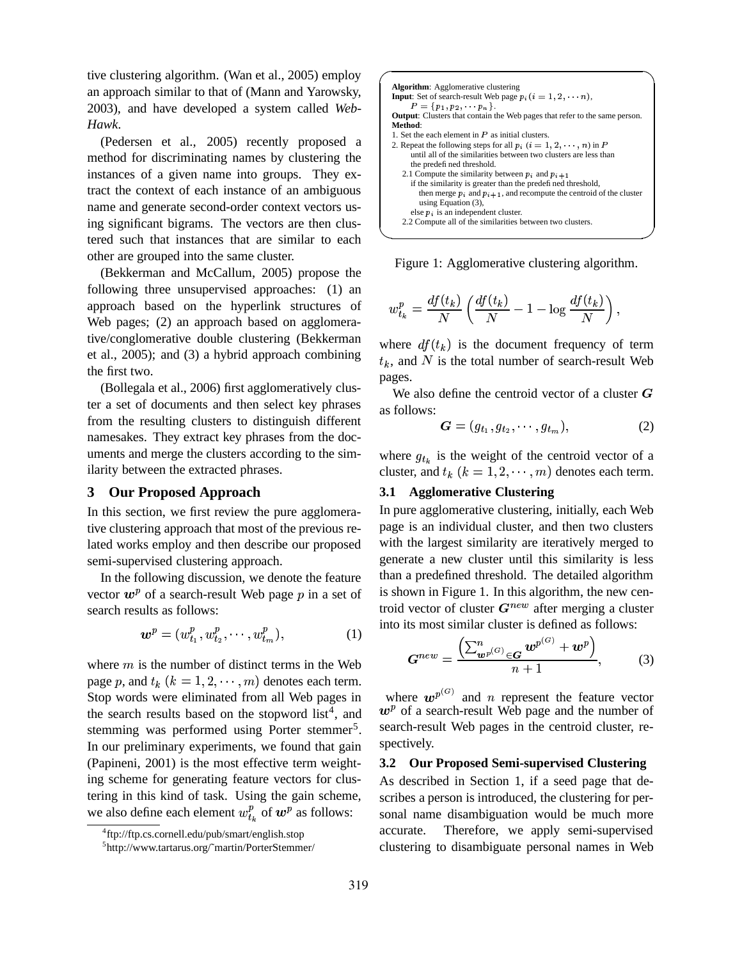tive clustering algorithm. (Wan et al., 2005) employ an approach similar to that of (Mann and Yarowsky, 2003), and have developed a system called *Web-Hawk*.

(Pedersen et al., 2005) recently proposed a method for discriminating names by clustering the instances of a given name into groups. They extract the context of each instance of an ambiguous name and generate second-order context vectors using significant bigrams. The vectors are then clustered such that instances that are similar to each other are grouped into the same cluster.

(Bekkerman and McCallum, 2005) propose the following three unsupervised approaches: (1) an approach based on the hyperlink structures of Web pages; (2) an approach based on agglomerative/conglomerative double clustering (Bekkerman et al., 2005); and (3) a hybrid approach combining the first two.

(Bollegala et al., 2006) first agglomeratively cluster a set of documents and then select key phrases from the resulting clusters to distinguish different namesakes. They extract key phrases from the documents and merge the clusters according to the similarity between the extracted phrases.

#### **3 Our Proposed Approach**

In this section, we first review the pure agglomerative clustering approach that most of the previous related works employ and then describe our proposed semi-supervised clustering approach.

In the following discussion, we denote the feature vector  $w^p$  of a search-result Web page  $p$  in a set of search results as follows:

$$
\bm{w}^p = (w_{t_1}^p, w_{t_2}^p, \cdots, w_{t_m}^p), \tag{1}
$$

where  $m$  is the number of distinct terms in the Web page p, and  $t_k$   $(k = 1, 2, \dots, m)$  denotes each term. Stop words were eliminated from all Web pages in the search results based on the stopword  $list^4$ , and stemming was performed using Porter stemmer<sup>5</sup>. In our preliminary experiments, we found that gain (Papineni, 2001) is the most effective term weighting scheme for generating feature vectors for clustering in this kind of task. Using the gain scheme, we also define each element  $w_{t_{k}}^{p}$  of  $w^{p}$  as follows:



Figure 1: Agglomerative clustering algorithm.

$$
w_{t_k}^p = \frac{df(t_k)}{N}\left(\frac{df(t_k)}{N} - 1 - \log\frac{df(t_k)}{N}\right),
$$

where  $df(t_k)$  is the document frequency of term  $t_k$ , and N is the total number of search-result Web pages.

We also define the centroid vector of a cluster  $G$ as follows:

$$
\boldsymbol{G} = (g_{t_1}, g_{t_2}, \cdots, g_{t_m}), \qquad (2)
$$

where  $g_{t_k}$  is the weight of the centroid vector of a cluster, and  $t_k$   $(k = 1, 2, \dots, m)$  denotes each term.

# **3.1 Agglomerative Clustering**

In pure agglomerative clustering, initially, each Web page is an individual cluster, and then two clusters with the largest similarity are iteratively merged to generate a new cluster until this similarity is less than a predefined threshold. The detailed algorithm is shown in Figure 1. In this algorithm, the new centroid vector of cluster  $G^{new}$  after merging a cluster into its most similar cluster is defined as follows:

$$
\boldsymbol{G}^{new} = \frac{\left(\sum_{\boldsymbol{w}^{p}}^{n}(\boldsymbol{G})\right|_{\in \boldsymbol{G}}\boldsymbol{w}^{p}}{\left(n+1\right)} \boldsymbol{w}^{p}, \qquad (3)
$$

where  $w^{p^{(G)}}$  and n represent the feature vector  $w^p$  of a search-result Web page and the number of search-result Web pages in the centroid cluster, respectively.

#### **3.2 Our Proposed Semi-supervised Clustering**

As described in Section 1, if a seed page that describes a person is introduced, the clustering for personal name disambiguation would be much more accurate. Therefore, we apply semi-supervised clustering to disambiguate personal names in Web

<sup>4</sup> ftp://ftp.cs.cornell.edu/pub/smart/english.stop

<sup>5</sup> http://www.tartarus.org/˜martin/PorterStemmer/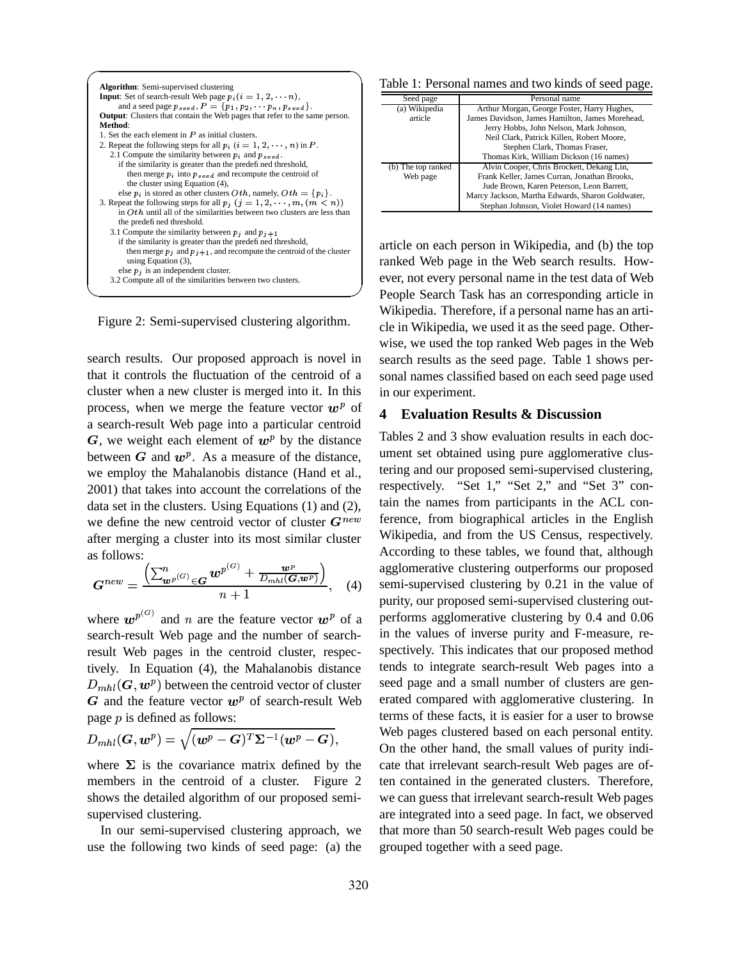|                                                                                   |                                                       | Table 1: Personal names and two kinds of seed page.  |  |
|-----------------------------------------------------------------------------------|-------------------------------------------------------|------------------------------------------------------|--|
| <b>Algorithm:</b> Semi-supervised clustering                                      |                                                       |                                                      |  |
| <b>Input:</b> Set of search-result Web page $p_i(i = 1, 2, \ldots, n)$ ,          | Seed page                                             | Personal name                                        |  |
| and a seed page $p_{seed}$ , $P = \{p_1, p_2, \dots, p_n, p_{seed}\}.$            | (a) Wikipedia                                         | Arthur Morgan, George Foster, Harry Hughes,          |  |
| <b>Output:</b> Clusters that contain the Web pages that refer to the same person. | article                                               | James Davidson, James Hamilton, James Morehead,      |  |
| Method:                                                                           |                                                       | Jerry Hobbs, John Nelson, Mark Johnson,              |  |
| 1. Set the each element in $P$ as initial clusters.                               |                                                       | Neil Clark, Patrick Killen, Robert Moore,            |  |
| 2. Repeat the following steps for all $p_i$ $(i = 1, 2, \ldots, n)$ in P.         |                                                       | Stephen Clark, Thomas Fraser,                        |  |
| 2.1 Compute the similarity between $p_i$ and $p_{seed}$ .                         |                                                       | Thomas Kirk, William Dickson (16 names)              |  |
| if the similarity is greater than the predefined threshold,                       | (b) The top ranked                                    | Alvin Cooper, Chris Brockett, Dekang Lin,            |  |
| then merge $p_i$ into $p_{seed}$ and recompute the centroid of                    | Web page                                              | Frank Keller, James Curran, Jonathan Brooks,         |  |
| the cluster using Equation (4),                                                   |                                                       | Jude Brown, Karen Peterson, Leon Barrett,            |  |
| else $p_i$ is stored as other clusters $Oth$ , namely, $Oth = \{p_i\}$ .          |                                                       | Marcy Jackson, Martha Edwards, Sharon Goldwater,     |  |
| 3. Repeat the following steps for all $p_i$ $(j = 1, 2, \dots, m, (m < n))$       |                                                       | Stephan Johnson, Violet Howard (14 names)            |  |
| in $Oth$ until all of the similarities between two clusters are less than         |                                                       |                                                      |  |
| the predefined threshold.                                                         |                                                       |                                                      |  |
| 3.1 Compute the similarity between $p_i$ and $p_{i+1}$                            |                                                       |                                                      |  |
| if the similarity is greater than the predefined threshold,                       |                                                       | article on each person in Wikipedia, and (b) the top |  |
| then merge $p_i$ and $p_{i+1}$ , and recompute the centroid of the cluster        |                                                       |                                                      |  |
| using Equation $(3)$ ,                                                            |                                                       | ranked Web page in the Web search results. How-      |  |
| else $p_i$ is an independent cluster.                                             | ever, not every personal name in the test data of Web |                                                      |  |
| 3.2 Compute all of the similarities between two clusters.                         |                                                       |                                                      |  |
|                                                                                   |                                                       |                                                      |  |

Figure 2: Semi-supervised clustering algorithm.

search results. Our proposed approach is novel in that it controls the fluctuation of the centroid of a cluster when a new cluster is merged into it. In this process, when we merge the feature vector  $w^p$  of  $\boldsymbol{\Lambda}$ a search-result Web page into a particular centroid G, we weight each element of  $w^p$  by the distance between  $G$  and  $w^p$ . As a measure of the distance, we employ the Mahalanobis distance (Hand et al., 2001) that takes into account the correlations of the data set in the clusters. Using Equations (1) and (2), we define the new centroid vector of cluster  $G^{new}$ after merging a cluster into its most similar cluster as follows:

$$
\boldsymbol{G}^{new} = \frac{\left(\sum_{\boldsymbol{w}^{p}}^{n}(\boldsymbol{G})\in\boldsymbol{G}\boldsymbol{w}^{p}}(\boldsymbol{G}) + \frac{\boldsymbol{w}^{p}}{D_{mhl}(\boldsymbol{G},\boldsymbol{w}^{p})}\right)}{n+1}, \quad (4)
$$

where  $w^{p^{(G)}}$  and n are the feature vector  $w^p$  of a 1 search-result Web page and the number of searchresult Web pages in the centroid cluster, respectively. In Equation (4), the Mahalanobis distance  $D_{mhl}(\bm{G},\bm{w}^p)$  between the centroid vector of cluster  $G$  and the feature vector  $w^p$  of search-result Web page  $p$  is defined as follows:

$$
D_{mhl}(\boldsymbol{G},\boldsymbol{w}^p)=\sqrt{(\boldsymbol{w}^p-\boldsymbol{G})^T\boldsymbol{\Sigma}^{-1}(\boldsymbol{w}^p-\boldsymbol{G})},\qquad\qquad\frac{\boldsymbol{\mathsf{V}}}{\boldsymbol{\mathsf{C}}}
$$

where  $\Sigma$  is the covariance matrix defined by the members in the centroid of a cluster. Figure 2 shows the detailed algorithm of our proposed semisupervised clustering.

In our semi-supervised clustering approach, we use the following two kinds of seed page: (a) the

| Seed page          | Personal name                                    |
|--------------------|--------------------------------------------------|
| (a) Wikipedia      | Arthur Morgan, George Foster, Harry Hughes,      |
| article            | James Davidson, James Hamilton, James Morehead,  |
|                    | Jerry Hobbs, John Nelson, Mark Johnson,          |
|                    | Neil Clark, Patrick Killen, Robert Moore,        |
|                    | Stephen Clark, Thomas Fraser,                    |
|                    | Thomas Kirk, William Dickson (16 names)          |
| (b) The top ranked | Alvin Cooper, Chris Brockett, Dekang Lin,        |
| Web page           | Frank Keller, James Curran, Jonathan Brooks,     |
|                    | Jude Brown, Karen Peterson, Leon Barrett,        |
|                    | Marcy Jackson, Martha Edwards, Sharon Goldwater, |
|                    | Stephan Johnson, Violet Howard (14 names)        |

red to the contract of the contract of the contract of the contract of the contract of the contract of the con article on each person in Wikipedia, and (b) the top ranked Web page in the Web search results. However, not every personal name in the test data of Web People Search Task has an corresponding article in Wikipedia. Therefore, if a personal name has an article in Wikipedia, we used it as the seed page. Otherwise, we used the top ranked Web pages in the Web search results as the seed page. Table 1 shows personal names classified based on each seed page used in our experiment.

# **4 Evaluation Results & Discussion**

Tables 2 and 3 show evaluation results in each document set obtained using pure agglomerative clustering and our proposed semi-supervised clustering, respectively. "Set 1," "Set 2," and "Set 3" contain the names from participants in the ACL conference, from biographical articles in the English Wikipedia, and from the US Census, respectively. According to these tables, we found that, although agglomerative clustering outperforms our proposed semi-supervised clustering by 0.21 in the value of purity, our proposed semi-supervised clustering outperforms agglomerative clustering by 0.4 and 0.06 in the values of inverse purity and F-measure, respectively. This indicates that our proposed method tends to integrate search-result Web pages into a seed page and a small number of clusters are generated compared with agglomerative clustering. In terms of these facts, it is easier for a user to browse Web pages clustered based on each personal entity. On the other hand, the small values of purity indicate that irrelevant search-result Web pages are often contained in the generated clusters. Therefore, we can guess that irrelevant search-result Web pages are integrated into a seed page. In fact, we observed that more than 50 search-result Web pages could be grouped together with a seed page.